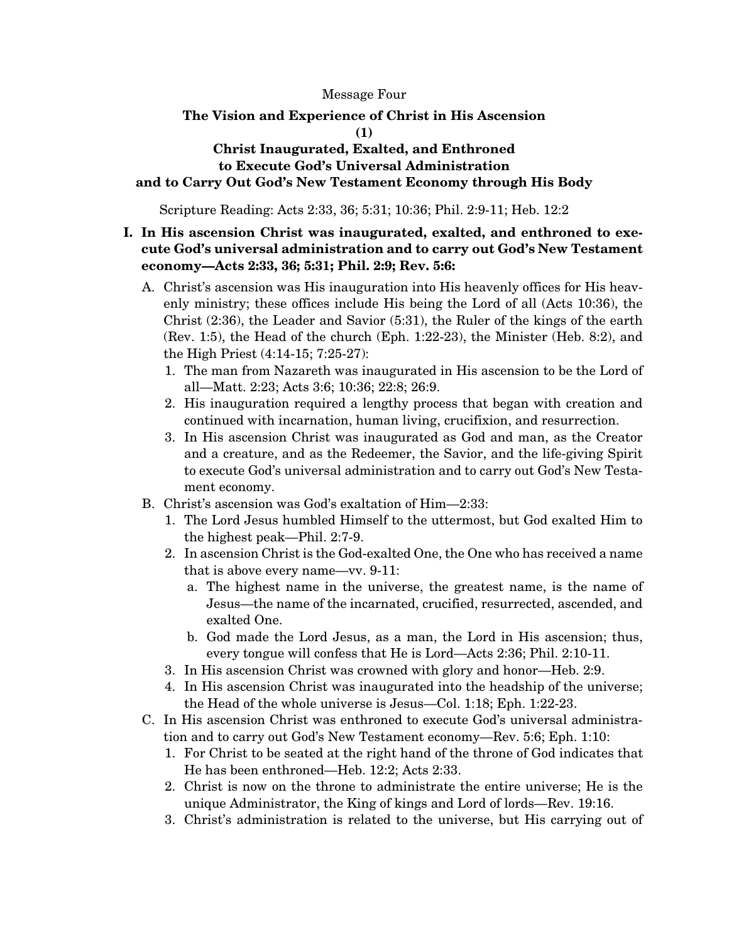Message Four

# **The Vision and Experience of Christ in His Ascension**

**(1)** 

#### **Christ Inaugurated, Exalted, and Enthroned to Execute God's Universal Administration and to Carry Out God's New Testament Economy through His Body**

Scripture Reading: Acts 2:33, 36; 5:31; 10:36; Phil. 2:9-11; Heb. 12:2

#### **I. In His ascension Christ was inaugurated, exalted, and enthroned to execute God's universal administration and to carry out God's New Testament economy—Acts 2:33, 36; 5:31; Phil. 2:9; Rev. 5:6:**

- A. Christ's ascension was His inauguration into His heavenly offices for His heavenly ministry; these offices include His being the Lord of all (Acts 10:36), the Christ (2:36), the Leader and Savior (5:31), the Ruler of the kings of the earth (Rev. 1:5), the Head of the church (Eph. 1:22-23), the Minister (Heb. 8:2), and the High Priest (4:14-15; 7:25-27):
	- 1. The man from Nazareth was inaugurated in His ascension to be the Lord of all—Matt. 2:23; Acts 3:6; 10:36; 22:8; 26:9.
	- 2. His inauguration required a lengthy process that began with creation and continued with incarnation, human living, crucifixion, and resurrection.
	- 3. In His ascension Christ was inaugurated as God and man, as the Creator and a creature, and as the Redeemer, the Savior, and the life-giving Spirit to execute God's universal administration and to carry out God's New Testament economy.
- B. Christ's ascension was God's exaltation of Him—2:33:
	- 1. The Lord Jesus humbled Himself to the uttermost, but God exalted Him to the highest peak—Phil. 2:7-9.
	- 2. In ascension Christ is the God-exalted One, the One who has received a name that is above every name—vv. 9-11:
		- a. The highest name in the universe, the greatest name, is the name of Jesus—the name of the incarnated, crucified, resurrected, ascended, and exalted One.
		- b. God made the Lord Jesus, as a man, the Lord in His ascension; thus, every tongue will confess that He is Lord—Acts 2:36; Phil. 2:10-11.
	- 3. In His ascension Christ was crowned with glory and honor—Heb. 2:9.
	- 4. In His ascension Christ was inaugurated into the headship of the universe; the Head of the whole universe is Jesus—Col. 1:18; Eph. 1:22-23.
- C. In His ascension Christ was enthroned to execute God's universal administration and to carry out God's New Testament economy—Rev. 5:6; Eph. 1:10:
	- 1. For Christ to be seated at the right hand of the throne of God indicates that He has been enthroned—Heb. 12:2; Acts 2:33.
	- 2. Christ is now on the throne to administrate the entire universe; He is the unique Administrator, the King of kings and Lord of lords—Rev. 19:16.
	- 3. Christ's administration is related to the universe, but His carrying out of